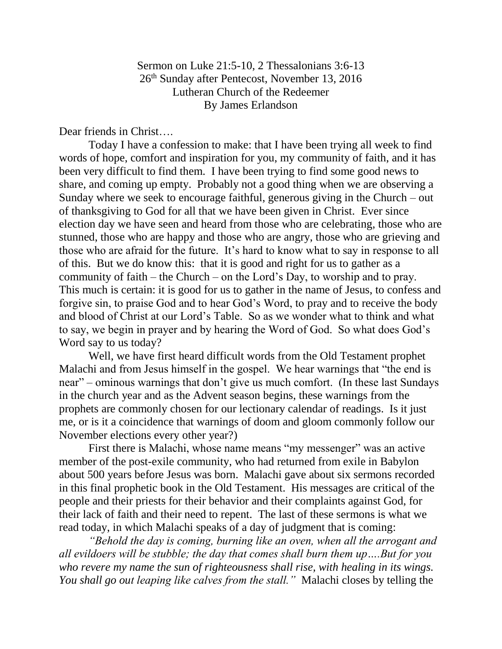Sermon on Luke 21:5-10, 2 Thessalonians 3:6-13 26th Sunday after Pentecost, November 13, 2016 Lutheran Church of the Redeemer By James Erlandson

Dear friends in Christ….

Today I have a confession to make: that I have been trying all week to find words of hope, comfort and inspiration for you, my community of faith, and it has been very difficult to find them. I have been trying to find some good news to share, and coming up empty. Probably not a good thing when we are observing a Sunday where we seek to encourage faithful, generous giving in the Church – out of thanksgiving to God for all that we have been given in Christ. Ever since election day we have seen and heard from those who are celebrating, those who are stunned, those who are happy and those who are angry, those who are grieving and those who are afraid for the future. It's hard to know what to say in response to all of this. But we do know this: that it is good and right for us to gather as a community of faith – the Church – on the Lord's Day, to worship and to pray. This much is certain: it is good for us to gather in the name of Jesus, to confess and forgive sin, to praise God and to hear God's Word, to pray and to receive the body and blood of Christ at our Lord's Table. So as we wonder what to think and what to say, we begin in prayer and by hearing the Word of God. So what does God's Word say to us today?

Well, we have first heard difficult words from the Old Testament prophet Malachi and from Jesus himself in the gospel. We hear warnings that "the end is near" – ominous warnings that don't give us much comfort. (In these last Sundays in the church year and as the Advent season begins, these warnings from the prophets are commonly chosen for our lectionary calendar of readings. Is it just me, or is it a coincidence that warnings of doom and gloom commonly follow our November elections every other year?)

First there is Malachi, whose name means "my messenger" was an active member of the post-exile community, who had returned from exile in Babylon about 500 years before Jesus was born. Malachi gave about six sermons recorded in this final prophetic book in the Old Testament. His messages are critical of the people and their priests for their behavior and their complaints against God, for their lack of faith and their need to repent. The last of these sermons is what we read today, in which Malachi speaks of a day of judgment that is coming:

*"Behold the day is coming, burning like an oven, when all the arrogant and all evildoers will be stubble; the day that comes shall burn them up….But for you who revere my name the sun of righteousness shall rise, with healing in its wings. You shall go out leaping like calves from the stall."* Malachi closes by telling the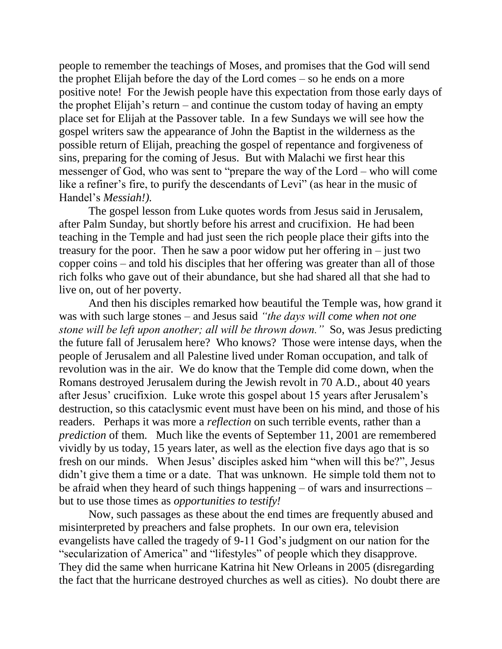people to remember the teachings of Moses, and promises that the God will send the prophet Elijah before the day of the Lord comes – so he ends on a more positive note! For the Jewish people have this expectation from those early days of the prophet Elijah's return – and continue the custom today of having an empty place set for Elijah at the Passover table. In a few Sundays we will see how the gospel writers saw the appearance of John the Baptist in the wilderness as the possible return of Elijah, preaching the gospel of repentance and forgiveness of sins, preparing for the coming of Jesus. But with Malachi we first hear this messenger of God, who was sent to "prepare the way of the Lord – who will come like a refiner's fire, to purify the descendants of Levi" (as hear in the music of Handel's *Messiah!).*

The gospel lesson from Luke quotes words from Jesus said in Jerusalem, after Palm Sunday, but shortly before his arrest and crucifixion. He had been teaching in the Temple and had just seen the rich people place their gifts into the treasury for the poor. Then he saw a poor widow put her offering in – just two copper coins – and told his disciples that her offering was greater than all of those rich folks who gave out of their abundance, but she had shared all that she had to live on, out of her poverty.

And then his disciples remarked how beautiful the Temple was, how grand it was with such large stones – and Jesus said *"the days will come when not one stone will be left upon another; all will be thrown down."* So, was Jesus predicting the future fall of Jerusalem here? Who knows? Those were intense days, when the people of Jerusalem and all Palestine lived under Roman occupation, and talk of revolution was in the air. We do know that the Temple did come down, when the Romans destroyed Jerusalem during the Jewish revolt in 70 A.D., about 40 years after Jesus' crucifixion. Luke wrote this gospel about 15 years after Jerusalem's destruction, so this cataclysmic event must have been on his mind, and those of his readers. Perhaps it was more a *reflection* on such terrible events, rather than a *prediction* of them. Much like the events of September 11, 2001 are remembered vividly by us today, 15 years later, as well as the election five days ago that is so fresh on our minds. When Jesus' disciples asked him "when will this be?", Jesus didn't give them a time or a date. That was unknown. He simple told them not to be afraid when they heard of such things happening – of wars and insurrections – but to use those times as *opportunities to testify!*

Now, such passages as these about the end times are frequently abused and misinterpreted by preachers and false prophets. In our own era, television evangelists have called the tragedy of 9-11 God's judgment on our nation for the "secularization of America" and "lifestyles" of people which they disapprove. They did the same when hurricane Katrina hit New Orleans in 2005 (disregarding the fact that the hurricane destroyed churches as well as cities). No doubt there are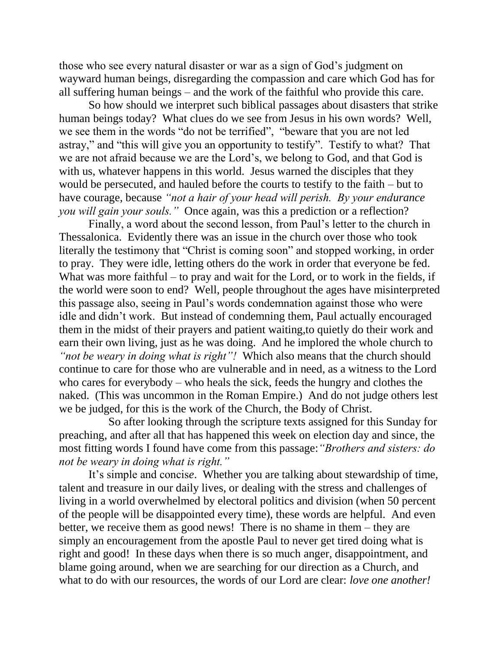those who see every natural disaster or war as a sign of God's judgment on wayward human beings, disregarding the compassion and care which God has for all suffering human beings – and the work of the faithful who provide this care.

So how should we interpret such biblical passages about disasters that strike human beings today? What clues do we see from Jesus in his own words? Well, we see them in the words "do not be terrified", "beware that you are not led astray," and "this will give you an opportunity to testify". Testify to what? That we are not afraid because we are the Lord's, we belong to God, and that God is with us, whatever happens in this world. Jesus warned the disciples that they would be persecuted, and hauled before the courts to testify to the faith – but to have courage, because *"not a hair of your head will perish. By your endurance you will gain your souls."* Once again, was this a prediction or a reflection?

Finally, a word about the second lesson, from Paul's letter to the church in Thessalonica. Evidently there was an issue in the church over those who took literally the testimony that "Christ is coming soon" and stopped working, in order to pray. They were idle, letting others do the work in order that everyone be fed. What was more faithful – to pray and wait for the Lord, or to work in the fields, if the world were soon to end? Well, people throughout the ages have misinterpreted this passage also, seeing in Paul's words condemnation against those who were idle and didn't work. But instead of condemning them, Paul actually encouraged them in the midst of their prayers and patient waiting,to quietly do their work and earn their own living, just as he was doing. And he implored the whole church to *"not be weary in doing what is right"!* Which also means that the church should continue to care for those who are vulnerable and in need, as a witness to the Lord who cares for everybody – who heals the sick, feeds the hungry and clothes the naked. (This was uncommon in the Roman Empire.) And do not judge others lest we be judged, for this is the work of the Church, the Body of Christ.

 So after looking through the scripture texts assigned for this Sunday for preaching, and after all that has happened this week on election day and since, the most fitting words I found have come from this passage:*"Brothers and sisters: do not be weary in doing what is right."*

It's simple and concis*e*. Whether you are talking about stewardship of time, talent and treasure in our daily lives, or dealing with the stress and challenges of living in a world overwhelmed by electoral politics and division (when 50 percent of the people will be disappointed every time), these words are helpful. And even better, we receive them as good news! There is no shame in them – they are simply an encouragement from the apostle Paul to never get tired doing what is right and good! In these days when there is so much anger, disappointment, and blame going around, when we are searching for our direction as a Church, and what to do with our resources, the words of our Lord are clear: *love one another!*